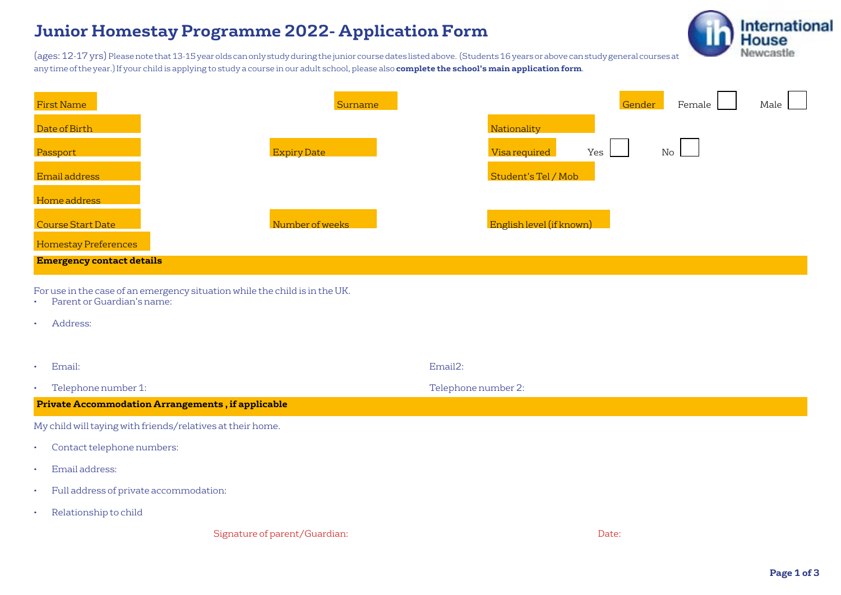## **Junior Homestay Programme 2022- Application Form**



(ages: 12-17 yrs) Please note that 13-15 year olds can only study during the junior course dates listed above. (Students 16 years or above can study general courses at any time of the year.)If your child is applying to study a course in our adult school, please also **complete the school's main application form**.

| <b>First Name</b>                                                | Surname                                                                     | Gender<br>Female<br>Male                           |
|------------------------------------------------------------------|-----------------------------------------------------------------------------|----------------------------------------------------|
| Date of Birth                                                    |                                                                             | Nationality                                        |
| Passport                                                         | <b>Expiry Date</b>                                                          | Yes<br>Visa required<br>$\mathop{\rm No}\nolimits$ |
| Email address                                                    |                                                                             | Student's Tel / Mob                                |
| Home address                                                     |                                                                             |                                                    |
| Course Start Date                                                | Number of weeks                                                             | English level (if known)                           |
| <b>Homestay Preferences</b>                                      |                                                                             |                                                    |
| <b>Emergency contact details</b>                                 |                                                                             |                                                    |
| Parent or Guardian's name:<br>$\bullet$<br>Address:<br>$\bullet$ | For use in the case of an emergency situation while the child is in the UK. |                                                    |
| Email:<br>$\bullet$                                              |                                                                             | Email2:                                            |
| Telephone number 1:<br>$\bullet$                                 |                                                                             | Telephone number 2:                                |
| <b>Private Accommodation Arrangements, if applicable</b>         |                                                                             |                                                    |
| My child will taying with friends/relatives at their home.       |                                                                             |                                                    |
| Contact telephone numbers:<br>٠                                  |                                                                             |                                                    |
| Email address:<br>$\bullet$                                      |                                                                             |                                                    |
| Full address of private accommodation:<br>$\bullet$              |                                                                             |                                                    |
| Relationship to child<br>٠                                       |                                                                             |                                                    |

Signature of parent/Guardian:  $\Box$  Date:  $\Box$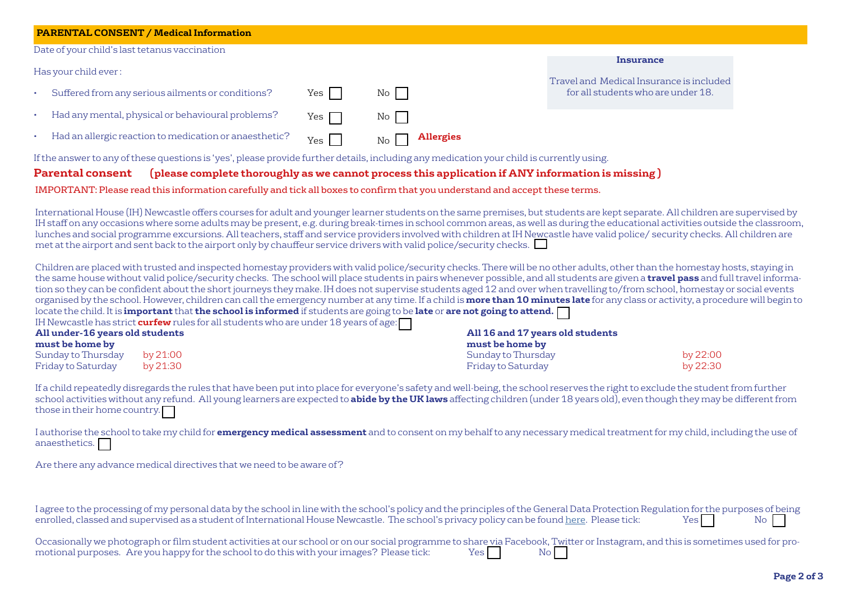| <b>PARENTAL CONSENT / Medical Information</b>                                                                                                                                                                                                                                                                                                                                                                                                                                                                                                                                                                                                                                                                                                                                                                                                                                                                                                                                                                                                                                                                                                                                                                                                                                                                                                                                                                                                              |               |                            |                                                     |                                                                                |     |  |  |
|------------------------------------------------------------------------------------------------------------------------------------------------------------------------------------------------------------------------------------------------------------------------------------------------------------------------------------------------------------------------------------------------------------------------------------------------------------------------------------------------------------------------------------------------------------------------------------------------------------------------------------------------------------------------------------------------------------------------------------------------------------------------------------------------------------------------------------------------------------------------------------------------------------------------------------------------------------------------------------------------------------------------------------------------------------------------------------------------------------------------------------------------------------------------------------------------------------------------------------------------------------------------------------------------------------------------------------------------------------------------------------------------------------------------------------------------------------|---------------|----------------------------|-----------------------------------------------------|--------------------------------------------------------------------------------|-----|--|--|
| Date of your child's last tetanus vaccination                                                                                                                                                                                                                                                                                                                                                                                                                                                                                                                                                                                                                                                                                                                                                                                                                                                                                                                                                                                                                                                                                                                                                                                                                                                                                                                                                                                                              |               |                            |                                                     |                                                                                |     |  |  |
| Has your child ever:                                                                                                                                                                                                                                                                                                                                                                                                                                                                                                                                                                                                                                                                                                                                                                                                                                                                                                                                                                                                                                                                                                                                                                                                                                                                                                                                                                                                                                       |               |                            |                                                     | <b>Insurance</b>                                                               |     |  |  |
| Suffered from any serious ailments or conditions?                                                                                                                                                                                                                                                                                                                                                                                                                                                                                                                                                                                                                                                                                                                                                                                                                                                                                                                                                                                                                                                                                                                                                                                                                                                                                                                                                                                                          | $\Box$<br>Yes | No                         |                                                     | Travel and Medical Insurance is included<br>for all students who are under 18. |     |  |  |
| Had any mental, physical or behavioural problems?                                                                                                                                                                                                                                                                                                                                                                                                                                                                                                                                                                                                                                                                                                                                                                                                                                                                                                                                                                                                                                                                                                                                                                                                                                                                                                                                                                                                          | Yes           | No                         |                                                     |                                                                                |     |  |  |
| Had an allergic reaction to medication or anaesthetic?                                                                                                                                                                                                                                                                                                                                                                                                                                                                                                                                                                                                                                                                                                                                                                                                                                                                                                                                                                                                                                                                                                                                                                                                                                                                                                                                                                                                     | $Yes \Box$    | $\mathop{\rm No}\nolimits$ | <b>Allergies</b>                                    |                                                                                |     |  |  |
| If the answer to any of these questions is 'yes', please provide further details, including any medication your child is currently using.                                                                                                                                                                                                                                                                                                                                                                                                                                                                                                                                                                                                                                                                                                                                                                                                                                                                                                                                                                                                                                                                                                                                                                                                                                                                                                                  |               |                            |                                                     |                                                                                |     |  |  |
| (please complete thoroughly as we cannot process this application if ANY information is missing)<br><b>Parental consent</b>                                                                                                                                                                                                                                                                                                                                                                                                                                                                                                                                                                                                                                                                                                                                                                                                                                                                                                                                                                                                                                                                                                                                                                                                                                                                                                                                |               |                            |                                                     |                                                                                |     |  |  |
| IMPORTANT: Please read this information carefully and tick all boxes to confirm that you understand and accept these terms.                                                                                                                                                                                                                                                                                                                                                                                                                                                                                                                                                                                                                                                                                                                                                                                                                                                                                                                                                                                                                                                                                                                                                                                                                                                                                                                                |               |                            |                                                     |                                                                                |     |  |  |
| IH staff on any occasions where some adults may be present, e.g. during break-times in school common areas, as well as during the educational activities outside the classroom,<br>lunches and social programme excursions. All teachers, staff and service providers involved with children at IH Newcastle have valid police/ security checks. All children are<br>met at the airport and sent back to the airport only by chauffeur service drivers with valid police/security checks.<br>Children are placed with trusted and inspected homestay providers with valid police/security checks. There will be no other adults, other than the homestay hosts, staying in<br>the same house without valid police/security checks. The school will place students in pairs whenever possible, and all students are given a travel pass and full travel informa-<br>tion so they can be confident about the short journeys they make. IH does not supervise students aged 12 and over when travelling to/from school, homestay or social events<br>organised by the school. However, children can call the emergency number at any time. If a child is more than 10 minutes late for any class or activity, a procedure will begin to<br>locate the child. It is important that the school is informed if students are going to be late or are not going to attend.<br>IH Newcastle has strict curfew rules for all students who are under 18 years of age: |               |                            |                                                     |                                                                                |     |  |  |
| All under-16 years old students<br>must be home by                                                                                                                                                                                                                                                                                                                                                                                                                                                                                                                                                                                                                                                                                                                                                                                                                                                                                                                                                                                                                                                                                                                                                                                                                                                                                                                                                                                                         |               |                            | All 16 and 17 years old students<br>must be home by |                                                                                |     |  |  |
| Sunday to Thursday<br>by 21:00<br><b>Friday to Saturday</b><br>by 21:30                                                                                                                                                                                                                                                                                                                                                                                                                                                                                                                                                                                                                                                                                                                                                                                                                                                                                                                                                                                                                                                                                                                                                                                                                                                                                                                                                                                    |               |                            | Sunday to Thursday<br><b>Friday to Saturday</b>     | by 22:00<br>by 22:30                                                           |     |  |  |
| If a child repeatedly disregards the rules that have been put into place for everyone's safety and well-being, the school reserves the right to exclude the student from further<br>school activities without any refund. All young learners are expected to abide by the UK laws affecting children (under 18 years old), even though they may be different from<br>those in their home country.                                                                                                                                                                                                                                                                                                                                                                                                                                                                                                                                                                                                                                                                                                                                                                                                                                                                                                                                                                                                                                                          |               |                            |                                                     |                                                                                |     |  |  |
| I authorise the school to take my child for <i>emergency medical assessment</i> and to consent on my behalf to any necessary medical treatment for my child, including the use of<br>anaesthetics.                                                                                                                                                                                                                                                                                                                                                                                                                                                                                                                                                                                                                                                                                                                                                                                                                                                                                                                                                                                                                                                                                                                                                                                                                                                         |               |                            |                                                     |                                                                                |     |  |  |
| Are there any advance medical directives that we need to be aware of?                                                                                                                                                                                                                                                                                                                                                                                                                                                                                                                                                                                                                                                                                                                                                                                                                                                                                                                                                                                                                                                                                                                                                                                                                                                                                                                                                                                      |               |                            |                                                     |                                                                                |     |  |  |
| I agree to the processing of my personal data by the school in line with the school's policy and the principles of the General Data Protection Regulation for the purposes of being<br>enrolled, classed and supervised as a student of International House Newcastle. The school's privacy policy can be found here. Please tick:                                                                                                                                                                                                                                                                                                                                                                                                                                                                                                                                                                                                                                                                                                                                                                                                                                                                                                                                                                                                                                                                                                                         |               |                            |                                                     | Yes                                                                            | No. |  |  |

| Occasionally we photograph or film student activities at our school or on our social programme to share via Facebook, Twitter or Instagram, and this is sometimes used for pro- |      |      |  |
|---------------------------------------------------------------------------------------------------------------------------------------------------------------------------------|------|------|--|
| motional purposes. Are you happy for the school to do this with your images? Please tick:                                                                                       | Yesl | No I |  |